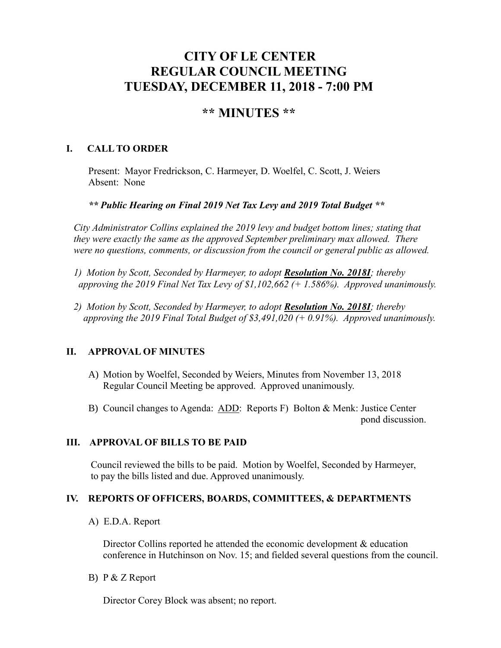# **CITY OF LE CENTER REGULAR COUNCIL MEETING TUESDAY, DECEMBER 11, 2018 - 7:00 PM**

# **\*\* MINUTES \*\***

## **I. CALL TO ORDER**

Present: Mayor Fredrickson, C. Harmeyer, D. Woelfel, C. Scott, J. Weiers Absent: None

*\*\* Public Hearing on Final 2019 Net Tax Levy and 2019 Total Budget \*\**

*City Administrator Collins explained the 2019 levy and budget bottom lines; stating that they were exactly the same as the approved September preliminary max allowed. There were no questions, comments, or discussion from the council or general public as allowed.*

*1) Motion by Scott, Seconded by Harmeyer, to adopt Resolution No. 2018I; thereby approving the 2019 Final Net Tax Levy of \$1,102,662 (+ 1.586%). Approved unanimously.*

*2) Motion by Scott, Seconded by Harmeyer, to adopt Resolution No. 2018I; thereby approving the 2019 Final Total Budget of \$3,491,020 (+ 0.91%). Approved unanimously.*

# **II. APPROVAL OF MINUTES**

- A) Motion by Woelfel, Seconded by Weiers, Minutes from November 13, 2018 Regular Council Meeting be approved. Approved unanimously.
- B) Council changes to Agenda: ADD: Reports F) Bolton & Menk: Justice Center pond discussion.

## **III. APPROVAL OF BILLS TO BE PAID**

Council reviewed the bills to be paid. Motion by Woelfel, Seconded by Harmeyer, to pay the bills listed and due. Approved unanimously.

#### **IV. REPORTS OF OFFICERS, BOARDS, COMMITTEES, & DEPARTMENTS**

A) E.D.A. Report

Director Collins reported he attended the economic development & education conference in Hutchinson on Nov. 15; and fielded several questions from the council.

B) P & Z Report

Director Corey Block was absent; no report.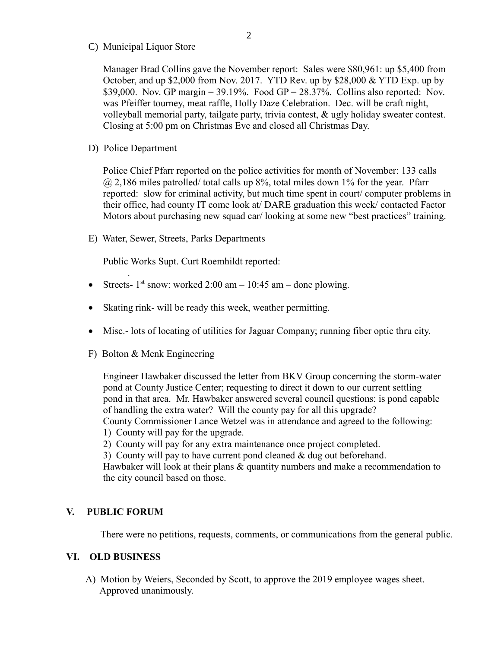C) Municipal Liquor Store

Manager Brad Collins gave the November report: Sales were \$80,961: up \$5,400 from October, and up \$2,000 from Nov. 2017. YTD Rev. up by \$28,000 & YTD Exp. up by \$39,000. Nov. GP margin =  $39.19\%$ . Food GP =  $28.37\%$ . Collins also reported: Nov. was Pfeiffer tourney, meat raffle, Holly Daze Celebration. Dec. will be craft night, volleyball memorial party, tailgate party, trivia contest, & ugly holiday sweater contest. Closing at 5:00 pm on Christmas Eve and closed all Christmas Day.

D) Police Department

.

Police Chief Pfarr reported on the police activities for month of November: 133 calls  $\omega$  2,186 miles patrolled/ total calls up 8%, total miles down 1% for the year. Pfarr reported: slow for criminal activity, but much time spent in court/ computer problems in their office, had county IT come look at/ DARE graduation this week/ contacted Factor Motors about purchasing new squad car/ looking at some new "best practices" training.

E) Water, Sewer, Streets, Parks Departments

Public Works Supt. Curt Roemhildt reported:

- Streets-  $1<sup>st</sup>$  snow: worked 2:00 am 10:45 am done plowing.
- Skating rink- will be ready this week, weather permitting.
- Misc.- lots of locating of utilities for Jaguar Company; running fiber optic thru city.
- F) Bolton & Menk Engineering

 Engineer Hawbaker discussed the letter from BKV Group concerning the storm-water pond at County Justice Center; requesting to direct it down to our current settling pond in that area. Mr. Hawbaker answered several council questions: is pond capable of handling the extra water? Will the county pay for all this upgrade? County Commissioner Lance Wetzel was in attendance and agreed to the following:

1) County will pay for the upgrade.

2) County will pay for any extra maintenance once project completed.

3) County will pay to have current pond cleaned & dug out beforehand.

 Hawbaker will look at their plans & quantity numbers and make a recommendation to the city council based on those.

#### **V. PUBLIC FORUM**

There were no petitions, requests, comments, or communications from the general public.

#### **VI. OLD BUSINESS**

A) Motion by Weiers, Seconded by Scott, to approve the 2019 employee wages sheet. Approved unanimously.